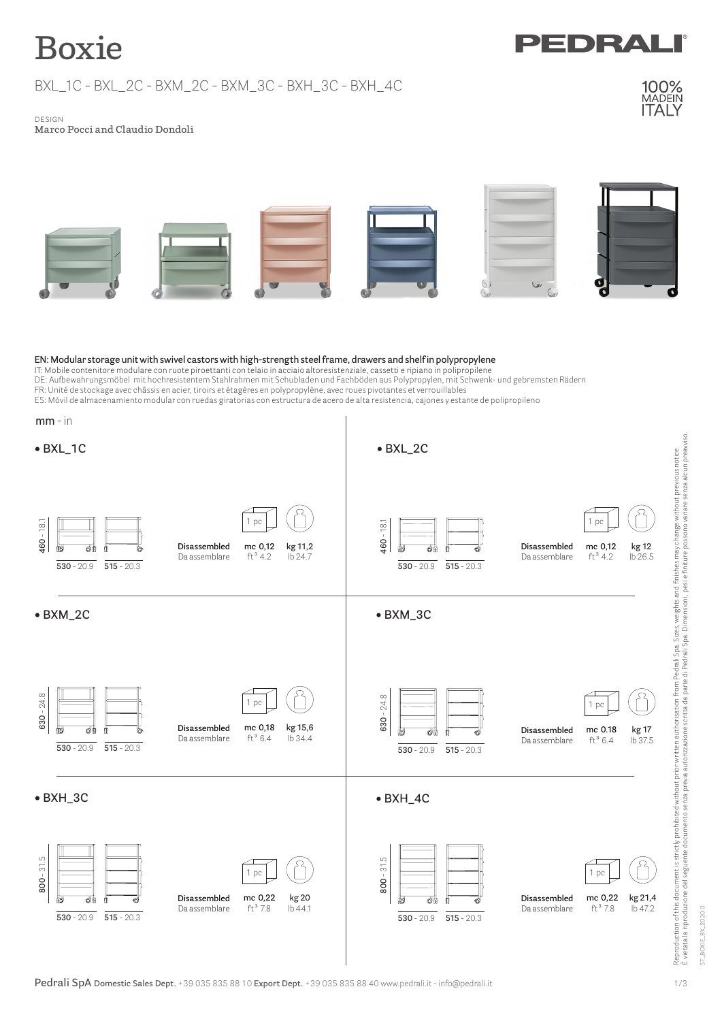# **Boxie**

BXL\_1C - BXL\_2C - BXM\_2C - BXM\_3C - BXH\_3C - BXH\_4C



DRA

 design **Marco Pocci and Claudio Dondoli**



#### **EN: Modular storage unit with swivel castors with high-strength steel frame, drawers and shelf in polypropylene**

IT: Mobile contenitore modulare con ruote piroettanti con telaio in acciaio altoresistenziale, cassetti e ripiano in polipropilene DE: Aufbewahrungsmöbel mit hochresistentem Stahlrahmen mit Schubladen und Fachböden aus Polypropylen, mit Schwenk- und gebremsten Rädern FR: Unité de stockage avec châssis en acier, tiroirs et étagères en polypropylène, avec roues pivotantes et verrouillables ES: Móvil de almacenamiento modular con ruedas giratorias con estructura de acero de alta resistencia, cajones y estante de polipropileno

| $mm - in$                                                                                                                                        |                                                                                                                                                       |
|--------------------------------------------------------------------------------------------------------------------------------------------------|-------------------------------------------------------------------------------------------------------------------------------------------------------|
| $\bullet$ BXL_1C                                                                                                                                 | $\bullet$ BXL_2C                                                                                                                                      |
| 1 pc<br>460 - 18.1<br>Disassembled<br>mc 0,12<br>kg 11,2<br>O.<br>đФ<br>$ft^34.2$<br>Da assemblare<br>lb 24.7<br>$515 - 20.3$<br>$530 - 20.9$    | 460 - 18.1<br>1 pc<br>mc 0,12<br>Disassembled<br>kg 12<br>o#<br>$ft^34.2$<br>lb 26.5<br>Da assemblare<br>$515 - 20.3$<br>$530 - 20.9$                 |
| $\bullet$ BXM_2C                                                                                                                                 | $\bullet$ BXM_3C                                                                                                                                      |
| $630 - 24.8$<br>1 pc<br>mc 0,18<br>kg 15,6<br>Disassembled<br>Œ۱<br>₫M<br>$ft^3 6.4$<br>lb 34.4<br>Da assemblare<br>$515 - 20.3$<br>$530 - 20.9$ | $630 - 24.8$<br>1 pc<br>mc 0.18<br>Disassembled<br>kg 17<br>26<br>Ö<br>$ft^3 6.4$<br>lb 37.5<br>Da assemblare<br>$515 - 20.3$<br>$530 - 20.9$         |
| $\bullet$ BXH_3C                                                                                                                                 | $\bullet$ BXH_4C                                                                                                                                      |
| $800 - 31.5$<br>1 pc<br>mc 0,22<br>kg 20<br>Disassembled<br>O<br>$ft^3$ 7.8<br>lb 44.1<br>Da assemblare<br>$530 - 20.9$<br>$515 - 20.3$          | $800 - 31.5$<br>1 pc<br>mc 0,22<br>Disassembled<br>kg 21,4<br>o₿<br>Φ5<br>Ш<br>$ft^3$ 7.8<br>lb 47.2<br>Da assemblare<br>$515 - 20.3$<br>$530 - 20.9$ |

ST\_BOXIE\_BX\_2020.0

ST\_BOXIE\_BX\_2020.0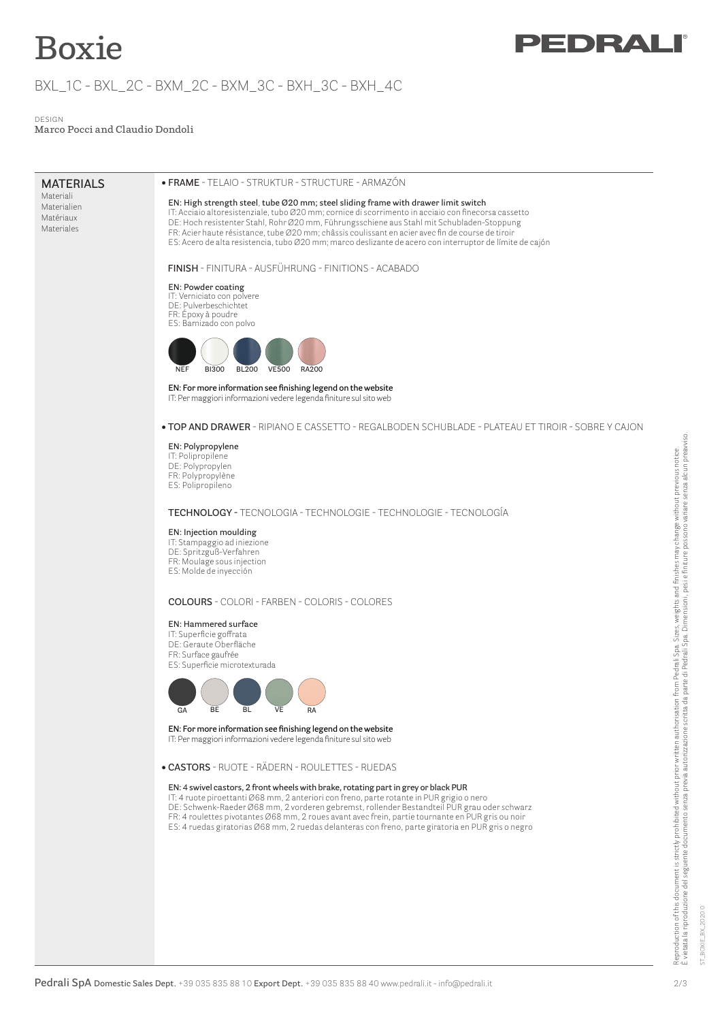## **Boxie**

## BXL\_1C - BXL\_2C - BXM\_2C - BXM\_3C - BXH\_3C - BXH\_4C

 design **Marco Pocci and Claudio Dondoli**

### **MATERIALS**

Materiali Materialien Matériaux Materiales

#### **• FRAME** - TELAIO - STRUKTUR - STRUCTURE - ARMAZÓN

#### **EN: High strength steel**, **tube Ø20 mm; steel sliding frame with drawer limit switch**

IT: Acciaio altoresistenziale, tubo Ø20 mm; cornice di scorrimento in acciaio con finecorsa cassetto DE: Hoch resistenter Stahl, Rohr Ø20 mm, Führungsschiene aus Stahl mit Schubladen-Stoppung FR: Acier haute résistance, tube Ø20 mm; châssis coulissant en acier avec fin de course de tiroir ES: Acero de alta resistencia, tubo Ø20 mm; marco deslizante de acero con interruptor de límite de cajón

 **Finish** - FINITURA - Ausführung - Finitions - Acabado

**EN: Powder coating IT:** Verniciato con polvere DE: Pulverbeschichtet FR: Époxy à poudre



**EN: For more information see finishing legend on the website** IT: Per maggiori informazioni vedere legenda finiture sul sito web

#### **• top and drawer** - ripiano e cassetto - REGALBODEN SCHUBLADE - plateau et tiroir - sobre y cajon

#### **EN: Polypropylene**

IT: Polipropilene DE: Polypropylen FR: Polypropylène ES: Polipropileno

**technology -** tecnologia - technologie - technologie - TECNOLOGÍA

#### **EN: Injection moulding**

IT: Stampaggio ad iniezione DE: Spritzguß-Verfahren FR: Moulage sous injection ES: Molde de inyección

#### **COLOURS** - COLORI - FARBEN - COLORIS - COLORES

#### **EN: Hammered surface**

IT: Superficie goffrata DE: Geraute Oberfläche FR: Surface gaufrée ES: Superficie microtexturada



**EN: For more information see finishing legend on the website** IT: Per maggiori informazioni vedere legenda finiture sul sito web

**• CASTORS** - RUOTE - RÄDERN - ROULETTES - RUEDAS

#### **EN:** 4 **swivel castors, 2 front wheels with brake, rotating part in grey or black PUR**

IT: 4 ruote piroettanti Ø68 mm, 2 anteriori con freno, parte rotante in PUR grigio o nero DE: Schwenk-Raeder Ø68 mm, 2 vorderen gebremst, rollender Bestandteil PUR grau oder schwarz FR: 4 roulettes pivotantes Ø68 mm, 2 roues avant avec frein, partie tournante en PUR gris ou noir ES: 4 ruedas giratorias Ø68 mm, 2 ruedas delanteras con freno, parte giratoria en PUR gris o negro

ST\_BOXIE\_BX\_2020.0

BOXIE\_BX\_2020.0